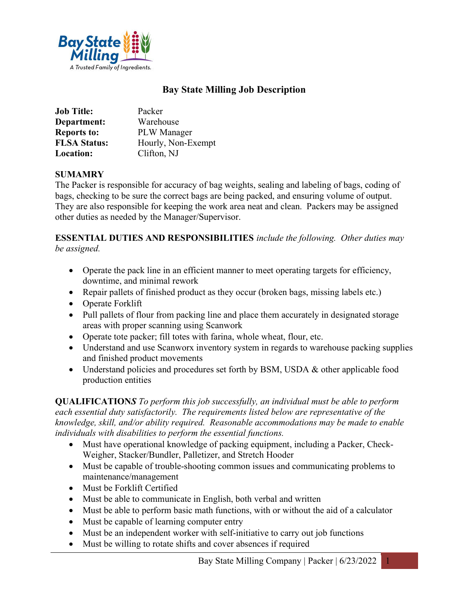

## Bay State Milling Job Description

| <b>Job Title:</b>   | Packer             |
|---------------------|--------------------|
| Department:         | Warehouse          |
| <b>Reports to:</b>  | <b>PLW</b> Manager |
| <b>FLSA Status:</b> | Hourly, Non-Exempt |
| <b>Location:</b>    | Clifton, NJ        |

## SUMAMRY

The Packer is responsible for accuracy of bag weights, sealing and labeling of bags, coding of bags, checking to be sure the correct bags are being packed, and ensuring volume of output. They are also responsible for keeping the work area neat and clean. Packers may be assigned other duties as needed by the Manager/Supervisor.

## ESSENTIAL DUTIES AND RESPONSIBILITIES include the following. Other duties may be assigned.

- Operate the pack line in an efficient manner to meet operating targets for efficiency, downtime, and minimal rework
- Repair pallets of finished product as they occur (broken bags, missing labels etc.)
- Operate Forklift
- Pull pallets of flour from packing line and place them accurately in designated storage areas with proper scanning using Scanwork
- Operate tote packer; fill totes with farina, whole wheat, flour, etc.
- Understand and use Scanworx inventory system in regards to warehouse packing supplies and finished product movements
- Understand policies and procedures set forth by BSM, USDA & other applicable food production entities

QUALIFICATIONS To perform this job successfully, an individual must be able to perform each essential duty satisfactorily. The requirements listed below are representative of the knowledge, skill, and/or ability required. Reasonable accommodations may be made to enable individuals with disabilities to perform the essential functions.

- Must have operational knowledge of packing equipment, including a Packer, Check-Weigher, Stacker/Bundler, Palletizer, and Stretch Hooder
- Must be capable of trouble-shooting common issues and communicating problems to maintenance/management
- Must be Forklift Certified
- Must be able to communicate in English, both verbal and written
- Must be able to perform basic math functions, with or without the aid of a calculator
- Must be capable of learning computer entry
- Must be an independent worker with self-initiative to carry out job functions
- Must be willing to rotate shifts and cover absences if required